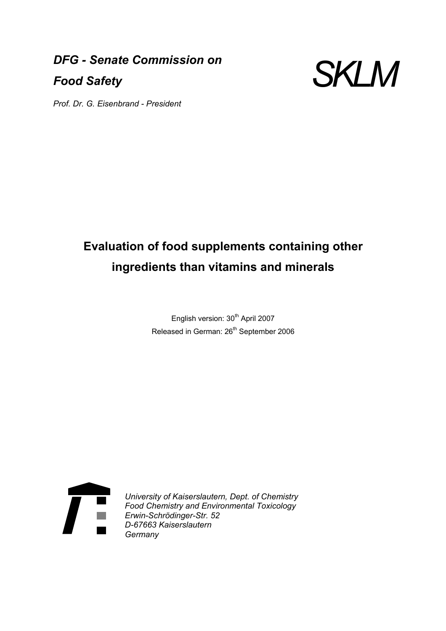*DFG - Senate Commission on Food Safety* 



*Prof. Dr. G. Eisenbrand - President* 

# **Evaluation of food supplements containing other ingredients than vitamins and minerals**

English version: 30<sup>th</sup> April 2007 Released in German: 26<sup>th</sup> September 2006



*University of Kaiserslautern, Dept. of Chemistry Food Chemistry and Environmental Toxicology Erwin-Schrödinger-Str. 52 D-67663 Kaiserslautern Germany*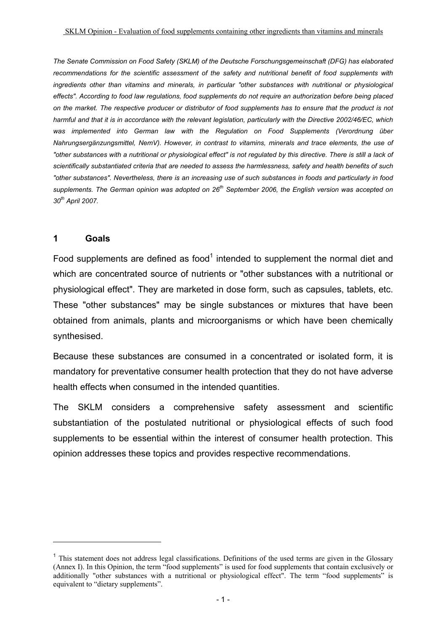*The Senate Commission on Food Safety (SKLM) of the Deutsche Forschungsgemeinschaft (DFG) has elaborated recommendations for the scientific assessment of the safety and nutritional benefit of food supplements with ingredients other than vitamins and minerals, in particular "other substances with nutritional or physiological effects". According to food law regulations, food supplements do not require an authorization before being placed on the market. The respective producer or distributor of food supplements has to ensure that the product is not harmful and that it is in accordance with the relevant legislation, particularly with the Directive 2002/46/EC, which was implemented into German law with the Regulation on Food Supplements (Verordnung über Nahrungsergänzungsmittel, NemV). However, in contrast to vitamins, minerals and trace elements, the use of "other substances with a nutritional or physiological effect" is not regulated by this directive. There is still a lack of scientifically substantiated criteria that are needed to assess the harmlessness, safety and health benefits of such "other substances". Nevertheless, there is an increasing use of such substances in foods and particularly in food supplements. The German opinion was adopted on 26th September 2006, the English version was accepted on 30th April 2007.*

### **1 Goals**

 $\overline{a}$ 

Food supplements are defined as food<sup>1</sup> intended to supplement the normal diet and which are concentrated source of nutrients or "other substances with a nutritional or physiological effect". They are marketed in dose form, such as capsules, tablets, etc. These "other substances" may be single substances or mixtures that have been obtained from animals, plants and microorganisms or which have been chemically synthesised.

Because these substances are consumed in a concentrated or isolated form, it is mandatory for preventative consumer health protection that they do not have adverse health effects when consumed in the intended quantities.

The SKLM considers a comprehensive safety assessment and scientific substantiation of the postulated nutritional or physiological effects of such food supplements to be essential within the interest of consumer health protection. This opinion addresses these topics and provides respective recommendations.

<sup>&</sup>lt;sup>1</sup> This statement does not address legal classifications. Definitions of the used terms are given in the Glossary (Annex I). In this Opinion, the term "food supplements" is used for food supplements that contain exclusively or additionally "other substances with a nutritional or physiological effect". The term "food supplements" is equivalent to "dietary supplements".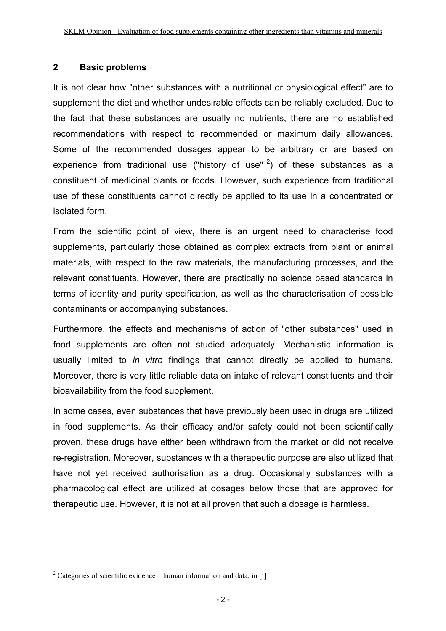## **2 Basic problems**

It is not clear how "other substances with a nutritional or physiological effect" are to supplement the diet and whether undesirable effects can be reliably excluded. Due to the fact that these substances are usually no nutrients, there are no established recommendations with respect to recommended or maximum daily allowances. Some of the recommended dosages appear to be arbitrary or are based on experience from traditional use ("history of use"  $2$ ) of these substances as a constituent of medicinal plants or foods. However, such experience from traditional use of these constituents cannot directly be applied to its use in a concentrated or isolated form.

From the scientific point of view, there is an urgent need to characterise food supplements, particularly those obtained as complex extracts from plant or animal materials, with respect to the raw materials, the manufacturing processes, and the relevant constituents. However, there are practically no science based standards in terms of identity and purity specification, as well as the characterisation of possible contaminants or accompanying substances.

Furthermore, the effects and mechanisms of action of "other substances" used in food supplements are often not studied adequately. Mechanistic information is usually limited to *in vitro* findings that cannot directly be applied to humans. Moreover, there is very little reliable data on intake of relevant constituents and their bioavailability from the food supplement.

In some cases, even substances that have previously been used in drugs are utilized in food supplements. As their efficacy and/or safety could not been scientifically proven, these drugs have either been withdrawn from the market or did not receive re-registration. Moreover, substances with a therapeutic purpose are also utilized that have not yet received authorisation as a drug. Occasionally substances with a pharmacological effect are utilized at dosages below those that are approved for therapeutic use. However, it is not at all proven that such a dosage is harmless.

<sup>&</sup>lt;sup>2</sup> Categories of scientific evidence – human information and data, in  $\lceil \cdot \rceil$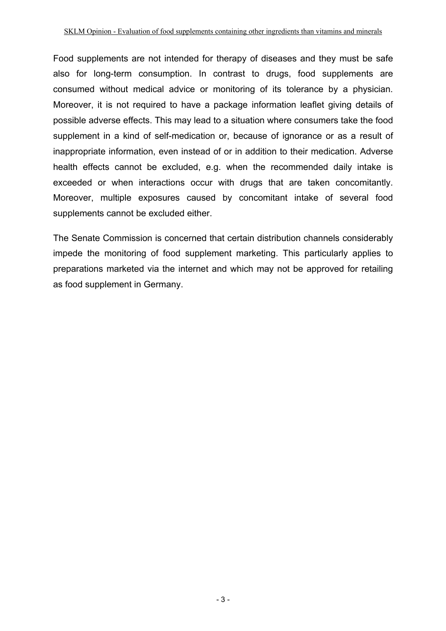Food supplements are not intended for therapy of diseases and they must be safe also for long-term consumption. In contrast to drugs, food supplements are consumed without medical advice or monitoring of its tolerance by a physician. Moreover, it is not required to have a package information leaflet giving details of possible adverse effects. This may lead to a situation where consumers take the food supplement in a kind of self-medication or, because of ignorance or as a result of inappropriate information, even instead of or in addition to their medication. Adverse health effects cannot be excluded, e.g. when the recommended daily intake is exceeded or when interactions occur with drugs that are taken concomitantly. Moreover, multiple exposures caused by concomitant intake of several food supplements cannot be excluded either.

The Senate Commission is concerned that certain distribution channels considerably impede the monitoring of food supplement marketing. This particularly applies to preparations marketed via the internet and which may not be approved for retailing as food supplement in Germany.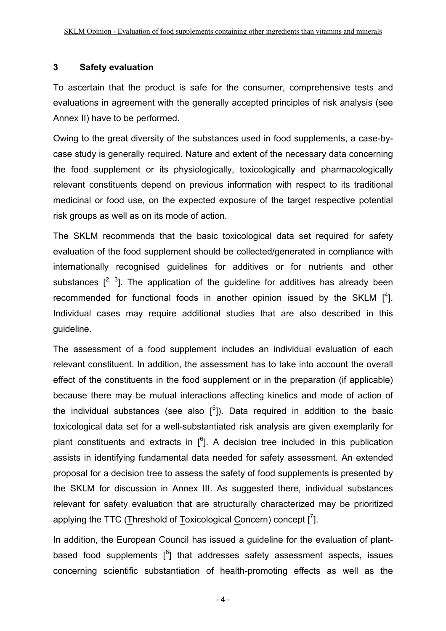## **3 Safety evaluation**

To ascertain that the product is safe for the consumer, comprehensive tests and evaluations in agreement with the generally accepted principles of risk analysis (see Annex II) have to be performed.

Owing to the great diversity of the substances used in food supplements, a case-bycase study is generally required. Nature and extent of the necessary data concerning the food supplement or its physiologically, toxicologically and pharmacologically relevant constituents depend on previous information with respect to its traditional medicinal or food use, on the expected exposure of the target respective potential risk groups as well as on its mode of action.

The SKLM recommends that the basic toxicological data set required for safety evaluation of the food supplement should be collected/generated in compliance with internationally recognised guidelines for additives or for nutrients and other substances  $[2, 3]$ . The application of the guideline for additives has already been recommended for functional foods in another opinion issued by the SKLM  $[4]$ . Individual cases may require additional studies that are also described in this guideline.

The assessment of a food supplement includes an individual evaluation of each relevant constituent. In addition, the assessment has to take into account the overall effect of the constituents in the food supplement or in the preparation (if applicable) because there may be mutual interactions affecting kinetics and mode of action of the individual substances (see also  $[5]$ ). Data required in addition to the basic toxicological data set for a well-substantiated risk analysis are given exemplarily for plant constituents and extracts in  $[6]$ . A decision tree included in this publication assists in identifying fundamental data needed for safety assessment. An extended proposal for a decision tree to assess the safety of food supplements is presented by the SKLM for discussion in Annex III. As suggested there, individual substances relevant for safety evaluation that are structurally characterized may be prioritized applying the TTC (Threshold of Toxicological Concern) concept  $\left[\begin{smallmatrix}7\end{smallmatrix}\right]$ .

In addition, the European Council has issued a guideline for the evaluation of plantbased food supplements  $\binom{8}{1}$  that addresses safety assessment aspects, issues concerning scientific substantiation of health-promoting effects as well as the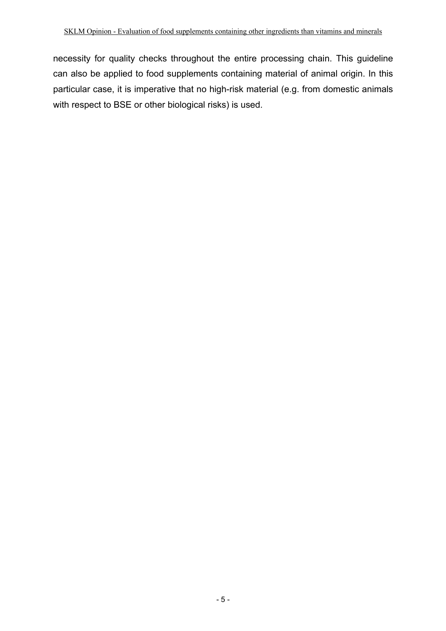necessity for quality checks throughout the entire processing chain. This guideline can also be applied to food supplements containing material of animal origin. In this particular case, it is imperative that no high-risk material (e.g. from domestic animals with respect to BSE or other biological risks) is used.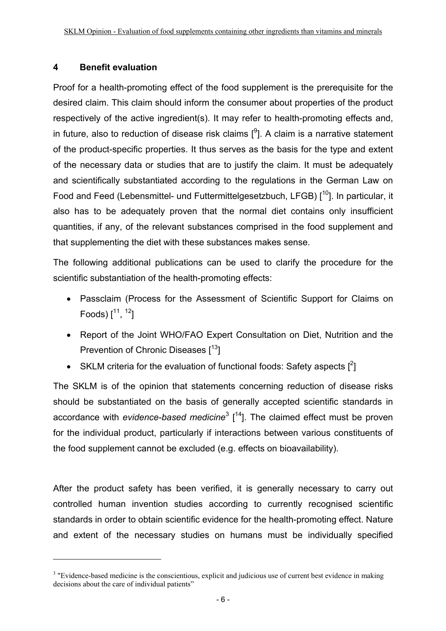## **4 Benefit evaluation**

 $\overline{a}$ 

Proof for a health-promoting effect of the food supplement is the prerequisite for the desired claim. This claim should inform the consumer about properties of the product respectively of the active ingredient(s). It may refer to health-promoting effects and, in future, also to reduction of disease risk claims  $[{}^{9}$ ]. A claim is a narrative statement of the product-specific properties. It thus serves as the basis for the type and extent of the necessary data or studies that are to justify the claim. It must be adequately and scientifically substantiated according to the regulations in the German Law on Food and Feed (Lebensmittel- und Futtermittelgesetzbuch, LFGB) [<sup>10</sup>]. In particular, it also has to be adequately proven that the normal diet contains only insufficient quantities, if any, of the relevant substances comprised in the food supplement and that supplementing the diet with these substances makes sense.

The following additional publications can be used to clarify the procedure for the scientific substantiation of the health-promoting effects:

- Passclaim (Process for the Assessment of Scientific Support for Claims on Foods)  $[11, 12]$
- Report of the Joint WHO/FAO Expert Consultation on Diet, Nutrition and the Prevention of Chronic Diseases [<sup>13</sup>]
- SKLM criteria for the evaluation of functional foods: Safety aspects  $[^2]$

The SKLM is of the opinion that statements concerning reduction of disease risks should be substantiated on the basis of generally accepted scientific standards in accordance with *evidence-based medicine*<sup>3</sup> [<sup>14</sup>]. The claimed effect must be proven for the individual product, particularly if interactions between various constituents of the food supplement cannot be excluded (e.g. effects on bioavailability).

After the product safety has been verified, it is generally necessary to carry out controlled human invention studies according to currently recognised scientific standards in order to obtain scientific evidence for the health-promoting effect. Nature and extent of the necessary studies on humans must be individually specified

 $3$  "Evidence-based medicine is the conscientious, explicit and judicious use of current best evidence in making decisions about the care of individual patients"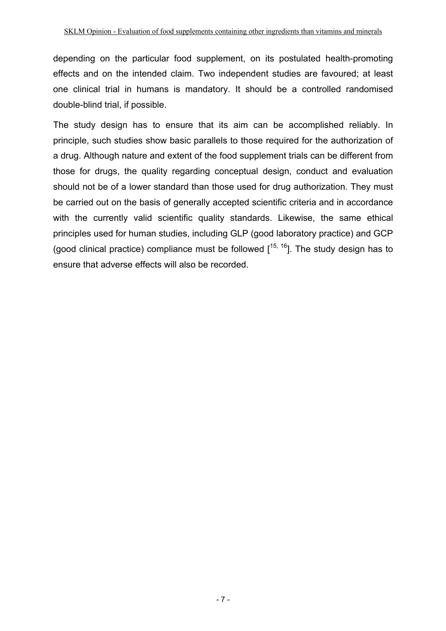depending on the particular food supplement, on its postulated health-promoting effects and on the intended claim. Two independent studies are favoured; at least one clinical trial in humans is mandatory. It should be a controlled randomised double-blind trial, if possible.

The study design has to ensure that its aim can be accomplished reliably. In principle, such studies show basic parallels to those required for the authorization of a drug. Although nature and extent of the food supplement trials can be different from those for drugs, the quality regarding conceptual design, conduct and evaluation should not be of a lower standard than those used for drug authorization. They must be carried out on the basis of generally accepted scientific criteria and in accordance with the currently valid scientific quality standards. Likewise, the same ethical principles used for human studies, including GLP (good laboratory practice) and GCP (good clinical practice) compliance must be followed  $[15, 16]$ . The study design has to ensure that adverse effects will also be recorded.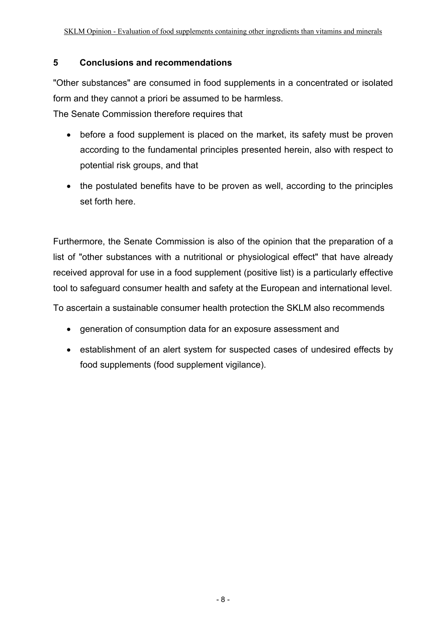## **5 Conclusions and recommendations**

"Other substances" are consumed in food supplements in a concentrated or isolated form and they cannot a priori be assumed to be harmless.

The Senate Commission therefore requires that

- before a food supplement is placed on the market, its safety must be proven according to the fundamental principles presented herein, also with respect to potential risk groups, and that
- the postulated benefits have to be proven as well, according to the principles set forth here.

Furthermore, the Senate Commission is also of the opinion that the preparation of a list of "other substances with a nutritional or physiological effect" that have already received approval for use in a food supplement (positive list) is a particularly effective tool to safeguard consumer health and safety at the European and international level.

To ascertain a sustainable consumer health protection the SKLM also recommends

- generation of consumption data for an exposure assessment and
- establishment of an alert system for suspected cases of undesired effects by food supplements (food supplement vigilance).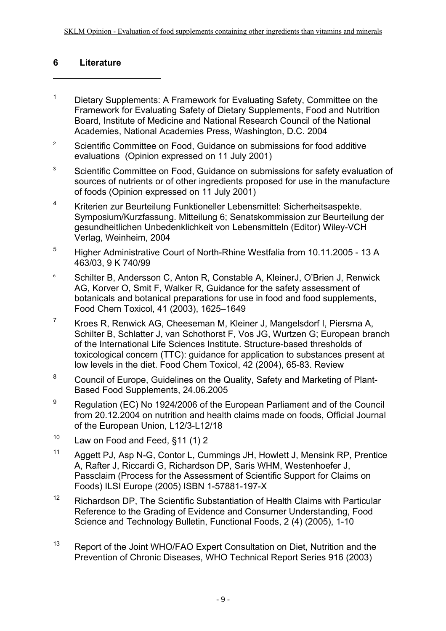## **6 Literature**

- <sup>1</sup> Dietary Supplements: A Framework for Evaluating Safety, Committee on the Framework for Evaluating Safety of Dietary Supplements, Food and Nutrition Board, Institute of Medicine and National Research Council of the National Academies, National Academies Press, Washington, D.C. 2004
- <sup>2</sup> Scientific Committee on Food, Guidance on submissions for food additive evaluations (Opinion expressed on 11 July 2001)
- <sup>3</sup> Scientific Committee on Food, Guidance on submissions for safety evaluation of sources of nutrients or of other ingredients proposed for use in the manufacture of foods (Opinion expressed on 11 July 2001)
- 4 Kriterien zur Beurteilung Funktioneller Lebensmittel: Sicherheitsaspekte. Symposium/Kurzfassung. Mitteilung 6; Senatskommission zur Beurteilung der gesundheitlichen Unbedenklichkeit von Lebensmitteln (Editor) Wiley-VCH Verlag, Weinheim, 2004
- 5 Higher Administrative Court of North-Rhine Westfalia from 10.11.2005 13 A 463/03, 9 K 740/99
- <sup>6</sup> Schilter B, Andersson C, Anton R, Constable A, KleinerJ, O'Brien J, Renwick AG, Korver O, Smit F, Walker R, Guidance for the safety assessment of botanicals and botanical preparations for use in food and food supplements, Food Chem Toxicol, 41 (2003), 1625–1649
- 7 Kroes R, Renwick AG, Cheeseman M, Kleiner J, Mangelsdorf I, Piersma A, Schilter B, Schlatter J, van Schothorst F, Vos JG, Wurtzen G; European branch of the International Life Sciences Institute. Structure-based thresholds of toxicological concern (TTC): guidance for application to substances present at low levels in the diet. Food Chem Toxicol, 42 (2004), 65-83. Review
- <sup>8</sup> Council of Europe, Guidelines on the Quality, Safety and Marketing of Plant-Based Food Supplements, 24.06.2005
- <sup>9</sup> Regulation (EC) No 1924/2006 of the European Parliament and of the Council from 20.12.2004 on nutrition and health claims made on foods, Official Journal of the European Union, L12/3-L12/18
- $10$  Law on Food and Feed,  $$11$  (1) 2
- 11 Aggett PJ, Asp N-G, Contor L, Cummings JH, Howlett J, Mensink RP, Prentice A, Rafter J, Riccardi G, Richardson DP, Saris WHM, Westenhoefer J, Passclaim (Process for the Assessment of Scientific Support for Claims on Foods) ILSI Europe (2005) ISBN 1-57881-197-X
- $12$  Richardson DP. The Scientific Substantiation of Health Claims with Particular Reference to the Grading of Evidence and Consumer Understanding, Food Science and Technology Bulletin, Functional Foods, 2 (4) (2005), 1-10
- <sup>13</sup> Report of the Joint WHO/FAO Expert Consultation on Diet, Nutrition and the Prevention of Chronic Diseases, WHO Technical Report Series 916 (2003)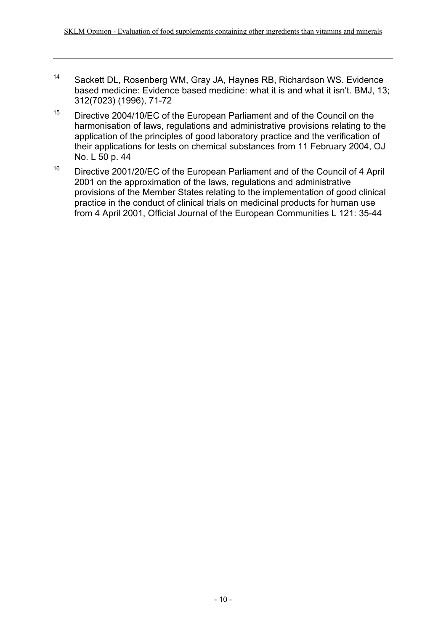- 14 Sackett DL, Rosenberg WM, Gray JA, Haynes RB, Richardson WS. Evidence based medicine: Evidence based medicine: what it is and what it isn't. BMJ, 13; 312(7023) (1996), 71-72
- <sup>15</sup> Directive 2004/10/EC of the European Parliament and of the Council on the harmonisation of laws, regulations and administrative provisions relating to the application of the principles of good laboratory practice and the verification of their applications for tests on chemical substances from 11 February 2004, OJ No. L 50 p. 44
- <sup>16</sup> Directive 2001/20/EC of the European Parliament and of the Council of 4 April 2001 on the approximation of the laws, regulations and administrative provisions of the Member States relating to the implementation of good clinical practice in the conduct of clinical trials on medicinal products for human use from 4 April 2001, Official Journal of the European Communities L 121: 35-44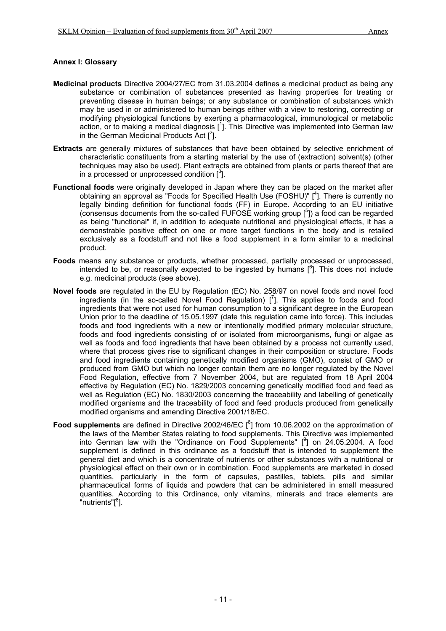#### **Annex I: Glossary**

- **Medicinal products** Directive 2004/27/EC from 31.03.2004 defines a medicinal product as being any substance or combination of substances presented as having properties for treating or preventing disease in human beings; or any substance or combination of substances which may be used in or administered to human beings either with a view to restoring, correcting or modifying physiological functions by exerting a pharmacological, immunological or metabolic action, or to making a medical diagnosis  $[1]$ . This Directive was implemented into German law in the German Medicinal Products Act  $[^2]$ .
- **Extracts** are generally mixtures of substances that have been obtained by selective enrichment of characteristic constituents from a starting material by the use of (extraction) solvent(s) (other techniques may also be used). Plant extracts are obtained from plants or parts thereof that are in a processed or unprocessed condition  $[3]$ .
- **Functional foods** were originally developed in Japan where they can be placed on the market after obtaining an approval as "Foods for Specified Health Use (FOSHU)" [<sup>4</sup>]. There is currently no legally binding definition for functional foods (FF) in Europe. According to an EU initiative (consensus documents from the so-called FUFOSE working group  $\binom{5}{1}$ ) a food can be regarded as being "functional" if, in addition to adequate nutritional and physiological effects, it has a demonstrable positive effect on one or more target functions in the body and is retailed exclusively as a foodstuff and not like a food supplement in a form similar to a medicinal product.
- **Foods** means any substance or products, whether processed, partially processed or unprocessed, intended to be, or reasonally expected to be ingested by humans  $[6]$ . This does not include e.g. medicinal products (see above).
- **Novel foods** are regulated in the EU by Regulation (EC) No. 258/97 on novel foods and novel food ingredients (in the so-called Novel Food Regulation)  $\binom{7}{1}$ . This applies to foods and food ingredients that were not used for human consumption to a significant degree in the European Union prior to the deadline of 15.05.1997 (date this regulation came into force). This includes foods and food ingredients with a new or intentionally modified primary molecular structure, foods and food ingredients consisting of or isolated from microorganisms, fungi or algae as well as foods and food ingredients that have been obtained by a process not currently used, where that process gives rise to significant changes in their composition or structure. Foods and food ingredients containing genetically modified organisms (GMO), consist of GMO or produced from GMO but which no longer contain them are no longer regulated by the Novel Food Regulation, effective from 7 November 2004, but are regulated from 18 April 2004 effective by Regulation (EC) No. 1829/2003 concerning genetically modified food and feed as well as Regulation (EC) No. 1830/2003 concerning the traceability and labelling of genetically modified organisms and the traceability of food and feed products produced from genetically modified organisms and amending Directive 2001/18/EC.
- Food supplements are defined in Directive 2002/46/EC [<sup>8</sup>] from 10.06.2002 on the approximation of the laws of the Member States relating to food supplements. This Directive was implemented into German law with the "Ordinance on Food Supplements"  $[{}^{9}$ ] on 24.05.2004. A food supplement is defined in this ordinance as a foodstuff that is intended to supplement the general diet and which is a concentrate of nutrients or other substances with a nutritional or physiological effect on their own or in combination. Food supplements are marketed in dosed quantities, particularly in the form of capsules, pastilles, tablets, pills and similar pharmaceutical forms of liquids and powders that can be administered in small measured quantities. According to this Ordinance, only vitamins, minerals and trace elements are "nutrients"[<sup>8</sup>].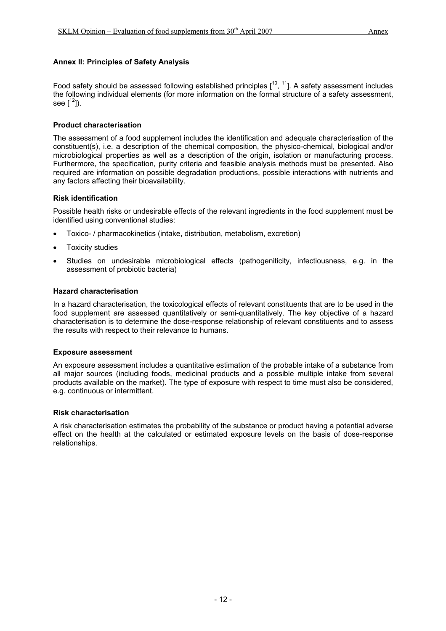#### **Annex II: Principles of Safety Analysis**

Food safety should be assessed following established principles  $[10, 11]$ . A safety assessment includes the following individual elements (for more information on the formal structure of a safety assessment, see  $[1^2]$ ).

#### **Product characterisation**

The assessment of a food supplement includes the identification and adequate characterisation of the constituent(s), i.e. a description of the chemical composition, the physico-chemical, biological and/or microbiological properties as well as a description of the origin, isolation or manufacturing process. Furthermore, the specification, purity criteria and feasible analysis methods must be presented. Also required are information on possible degradation productions, possible interactions with nutrients and any factors affecting their bioavailability.

#### **Risk identification**

Possible health risks or undesirable effects of the relevant ingredients in the food supplement must be identified using conventional studies:

- Toxico- / pharmacokinetics (intake, distribution, metabolism, excretion)
- **Toxicity studies**
- Studies on undesirable microbiological effects (pathogeniticity, infectiousness, e.g. in the assessment of probiotic bacteria)

#### **Hazard characterisation**

In a hazard characterisation, the toxicological effects of relevant constituents that are to be used in the food supplement are assessed quantitatively or semi-quantitatively. The key objective of a hazard characterisation is to determine the dose-response relationship of relevant constituents and to assess the results with respect to their relevance to humans.

#### **Exposure assessment**

An exposure assessment includes a quantitative estimation of the probable intake of a substance from all major sources (including foods, medicinal products and a possible multiple intake from several products available on the market). The type of exposure with respect to time must also be considered, e.g. continuous or intermittent.

#### **Risk characterisation**

A risk characterisation estimates the probability of the substance or product having a potential adverse effect on the health at the calculated or estimated exposure levels on the basis of dose-response relationships.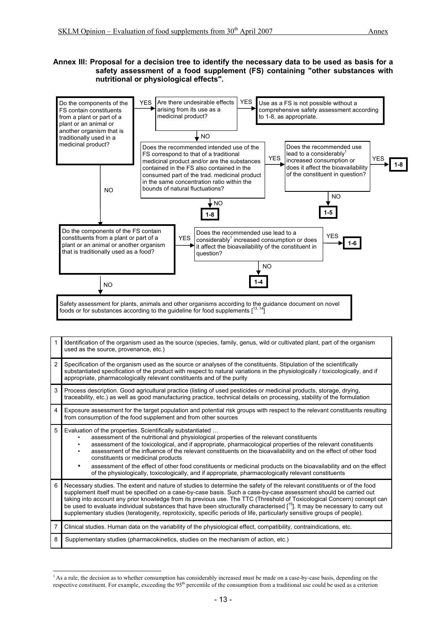#### **Annex III: Proposal for a decision tree to identify the necessary data to be used as basis for a safety assessment of a food supplement (FS) containing "other substances with nutritional or physiological effects".**



|                | Identification of the organism used as the source (species, family, genus, wild or cultivated plant, part of the organism<br>used as the source, provenance, etc.)                                                                                                                                                                                                                                                                                                                                                                                                                                                                                                        |
|----------------|---------------------------------------------------------------------------------------------------------------------------------------------------------------------------------------------------------------------------------------------------------------------------------------------------------------------------------------------------------------------------------------------------------------------------------------------------------------------------------------------------------------------------------------------------------------------------------------------------------------------------------------------------------------------------|
| $\overline{2}$ | Specification of the organism used as the source or analyses of the constituents. Stipulation of the scientifically<br>substantiated specification of the product with respect to natural variations in the physiologically / toxicologically, and if<br>appropriate, pharmacologically relevant constituents and of the purity                                                                                                                                                                                                                                                                                                                                           |
| 3              | Process description. Good agricultural practice (listing of used pesticides or medicinal products, storage, drying,<br>traceability, etc.) as well as good manufacturing practice, technical details on processing, stability of the formulation                                                                                                                                                                                                                                                                                                                                                                                                                          |
| $\overline{4}$ | Exposure assessment for the target population and potential risk groups with respect to the relevant constituents resulting<br>from consumption of the food supplement and from other sources                                                                                                                                                                                                                                                                                                                                                                                                                                                                             |
| 5              | Evaluation of the properties. Scientifically substantiated<br>assessment of the nutritional and physiological properties of the relevant constituents<br>assessment of the toxicological, and if appropriate, pharmacological properties of the relevant constituents<br>assessment of the influence of the relevant constituents on the bioavailability and on the effect of other food<br>constituents or medicinal products<br>assessment of the effect of other food constituents or medicinal products on the bioavailability and on the effect<br>$\bullet$<br>of the physiologically, toxicologically, and if appropriate, pharmacologically relevant constituents |
| 6              | Necessary studies. The extent and nature of studies to determine the safety of the relevant constituents or of the food<br>supplement itself must be specified on a case-by-case basis. Such a case-by-case assessment should be carried out<br>taking into account any prior knowledge from its previous use. The TTC (Threshold of Toxicological Concern) concept can<br>be used to evaluate individual substances that have been structurally characterised [ <sup>15</sup> ]. It may be necessary to carry out<br>supplementary studies (teratogenity, reprotoxicity, specific periods of life, particularly sensitive groups of people).                             |
| 7              | Clinical studies. Human data on the variability of the physiological effect, compatibility, contraindications, etc.                                                                                                                                                                                                                                                                                                                                                                                                                                                                                                                                                       |
| 8              | Supplementary studies (pharmacokinetics, studies on the mechanism of action, etc.)                                                                                                                                                                                                                                                                                                                                                                                                                                                                                                                                                                                        |

 $\overline{a}$ <sup>1</sup> As a rule, the decision as to whether consumption has considerably increased must be made on a case-by-case basis, depending on the respective constituent. For example, exceeding the 95<sup>th</sup> percentile of the consumption from a traditional use could be used as a criterion